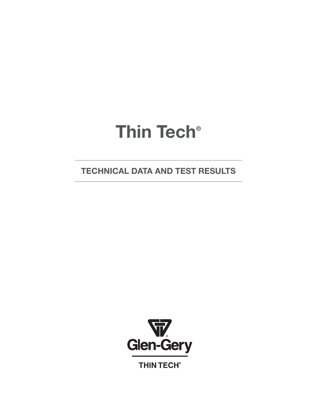# **Thin Tech®**

**TECHNICAL DATA AND TEST RESULTS**



**THIN TECH®**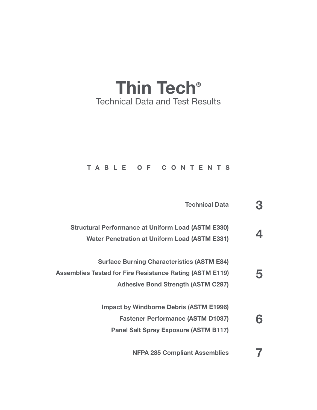# **Thin Tech®** Technical Data and Test Results

#### **TABLE OF CONTENTS**

|   | <b>Technical Data</b>                                                                                                                                             |
|---|-------------------------------------------------------------------------------------------------------------------------------------------------------------------|
|   | <b>Structural Performance at Uniform Load (ASTM E330)</b><br><b>Water Penetration at Uniform Load (ASTM E331)</b>                                                 |
| 5 | <b>Surface Burning Characteristics (ASTM E84)</b><br><b>Assemblies Tested for Fire Resistance Rating (ASTM E119)</b><br><b>Adhesive Bond Strength (ASTM C297)</b> |
| 6 | <b>Impact by Windborne Debris (ASTM E1996)</b><br><b>Fastener Performance (ASTM D1037)</b><br><b>Panel Salt Spray Exposure (ASTM B117)</b>                        |
|   | <b>NFPA 285 Compliant Assemblies</b>                                                                                                                              |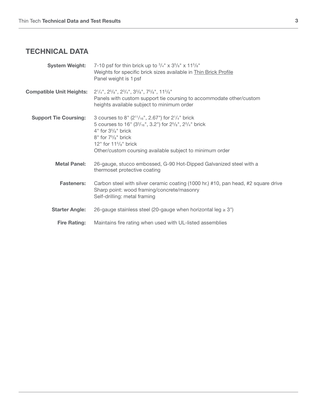# **TECHNICAL DATA**

| <b>System Weight:</b>           | 7-10 psf for thin brick up to $\frac{3}{4}$ " x $\frac{3}{8}$ " x $\frac{115}{8}$ "<br>Weights for specific brick sizes available in Thin Brick Profile<br>Panel weight is 1 psf                                                                                                            |
|---------------------------------|---------------------------------------------------------------------------------------------------------------------------------------------------------------------------------------------------------------------------------------------------------------------------------------------|
| <b>Compatible Unit Heights:</b> | $2^{1}/_{4}$ ", $2^{5}/_{8}$ ", $2^{3}/_{4}$ ", $3^{5}/_{8}$ ", $7^{5}/_{8}$ ", $11^{5}/_{8}$ "<br>Panels with custom support tie coursing to accommodate other/custom<br>heights available subject to minimum order                                                                        |
| <b>Support Tie Coursing:</b>    | 3 courses to 8" $(2^{11}/_{16}$ ", 2.67") for $2^{1}/_{4}$ " brick<br>5 courses to 16" $(3^3/16$ ", 3.2") for $2^5/8$ ", $2^3/4$ " brick<br>$4"$ for $35/8"$ brick<br>$8"$ for $75/s"$ brick<br>12" for $11\frac{5}{8}$ " brick<br>Other/custom coursing available subject to minimum order |
| <b>Metal Panel:</b>             | 26-gauge, stucco embossed, G-90 Hot-Dipped Galvanized steel with a<br>thermoset protective coating                                                                                                                                                                                          |
| <b>Fasteners:</b>               | Carbon steel with silver ceramic coating (1000 hr.) #10, pan head, #2 square drive<br>Sharp point: wood framing/concrete/masonry<br>Self-drilling: metal framing                                                                                                                            |
| <b>Starter Angle:</b>           | 26-gauge stainless steel (20-gauge when horizontal leg $\geq 3$ ")                                                                                                                                                                                                                          |
| <b>Fire Rating:</b>             | Maintains fire rating when used with UL-listed assemblies                                                                                                                                                                                                                                   |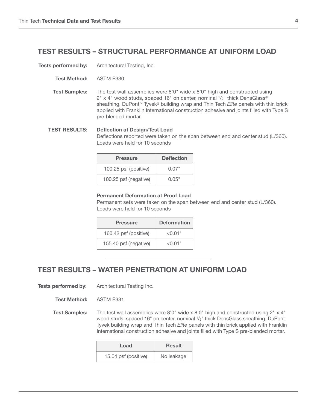#### **TEST RESULTS – STRUCTURAL PERFORMANCE AT UNIFORM LOAD**

**Tests performed by:** Architectural Testing, Inc.

- **Test Method:** ASTM E330
- **Test Samples:** The test wall assemblies were 8'0" wide x 8'0" high and constructed using 2" x 4" wood studs, spaced 16" on center, nominal 1/2" thick DensGlass® sheathing, DuPont™ Tyvek® building wrap and Thin Tech *Elite* panels with thin brick applied with Franklin International construction adhesive and joints filled with Type S pre-blended mortar.

**TEST RESULTS: Deflection at Design/Test Load** Deflections reported were taken on the span between end and center stud (L/360). Loads were held for 10 seconds

| <b>Pressure</b>       | <b>Deflection</b> |
|-----------------------|-------------------|
| 100.25 psf (positive) | በ በ7"             |
| 100.25 psf (negative) | <u>በ በ5"</u>      |

#### **Permanent Deformation at Proof Load**

Permanent sets were taken on the span between end and center stud (L/360). Loads were held for 10 seconds

| <b>Pressure</b>       | <b>Deformation</b> |
|-----------------------|--------------------|
| 160.42 psf (positive) | < 0.01"            |
| 155.40 psf (negative) | < 0.01"            |

#### **TEST RESULTS – WATER PENETRATION AT UNIFORM LOAD**

**Tests performed by:** Architectural Testing Inc.

**Test Method:** ASTM E331

**Test Samples:** The test wall assemblies were 8'0" wide x 8'0" high and constructed using 2" x 4" wood studs, spaced 16" on center, nominal  $1/2$ " thick DensGlass sheathing, DuPont Tyvek building wrap and Thin Tech *Elite* panels with thin brick applied with Franklin International construction adhesive and joints filled with Type S pre-blended mortar.

| Load                 | <b>Result</b> |
|----------------------|---------------|
| 15.04 psf (positive) | No leakage    |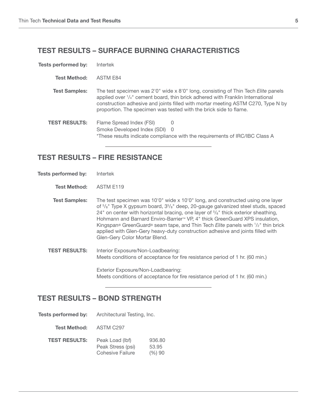#### **TEST RESULTS – SURFACE BURNING CHARACTERISTICS**

| <b>Tests performed by:</b> | Intertek                                                                                                                                                                                                                                                                                                                                       |  |
|----------------------------|------------------------------------------------------------------------------------------------------------------------------------------------------------------------------------------------------------------------------------------------------------------------------------------------------------------------------------------------|--|
| <b>Test Method:</b>        | ASTM E84                                                                                                                                                                                                                                                                                                                                       |  |
| <b>Test Samples:</b>       | The test specimen was 2'0" wide x 8'0" long, consisting of Thin Tech <i>Elite</i> panels<br>applied over $\frac{1}{4}$ " cement board, thin brick adhered with Franklin International<br>construction adhesive and joints filled with mortar meeting ASTM C270, Type N by<br>proportion. The specimen was tested with the brick side to flame. |  |
| <b>TEST RESULTS:</b>       | Flame Spread Index (FSI)<br>$\cup$<br>Smoke Developed Index (SDI) 0<br>*These results indicate compliance with the requirements of IRC/IBC Class A                                                                                                                                                                                             |  |

#### **TEST RESULTS – FIRE RESISTANCE**

**Tests performed by:** Intertek

**Test Method:** ASTM E119

**Test Samples:** The test specimen was 10'0" wide x 10'0" long, and constructed using one layer of <sup>5</sup>/<sub>8</sub>" Type X gypsum board, 3<sup>5</sup>/<sub>8</sub>" deep, 20-gauge galvanized steel studs, spaced  $24^{\circ}$  on center with horizontal bracing, one layer of  $5\frac{\pi}{6}$  thick exterior sheathing, Hohmann and Barnard Enviro-Barrier™ VP, 4" thick GreenGuard XPS insulation, Kingspan® GreenGuard® seam tape, and Thin Tech *Elite* panels with 1 /2" thin brick applied with Glen-Gery heavy-duty construction adhesive and joints filled with Glen-Gery Color Mortar Blend.

**TEST RESULTS:** Interior Exposure/Non-Loadbearing: Meets conditions of acceptance for fire resistance period of 1 hr. (60 min.)

> Exterior Exposure/Non-Loadbearing: Meets conditions of acceptance for fire resistance period of 1 hr. (60 min.)

#### **TEST RESULTS – BOND STRENGTH**

**Tests performed by:** Architectural Testing, Inc.

**Test Method:** ASTM C297

| <b>TEST RESULTS:</b> | Peak Load (lbf)   | 936.80 |
|----------------------|-------------------|--------|
|                      | Peak Stress (psi) | 53.95  |
|                      | Cohesive Failure  | (%)90  |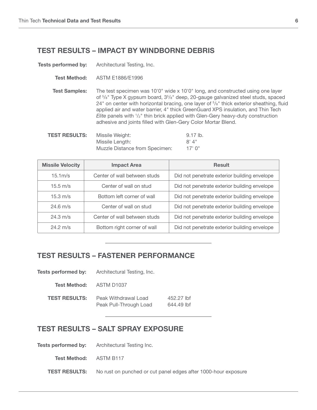#### **TEST RESULTS – IMPACT BY WINDBORNE DEBRIS**

**Tests performed by:** Architectural Testing, Inc.

**Test Method:** ASTM E1886/E1996

**Test Samples:** The test specimen was 10'0" wide x 10'0" long, and constructed using one layer of <sup>5</sup>/<sub>8</sub>" Type X gypsum board, 3<sup>5</sup>/<sub>8</sub>" deep, 20-gauge galvanized steel studs, spaced 24" on center with horizontal bracing, one layer of  $5/s$ " thick exterior sheathing, fluid applied air and water barrier, 4" thick GreenGuard XPS insulation, and Thin Tech Elite panels with  $\frac{1}{2}$ " thin brick applied with Glen-Gery heavy-duty construction adhesive and joints filled with Glen-Gery Color Mortar Blend.

| <b>TEST RESULTS:</b> | Missile Weight:                | $9.17$ lb. |
|----------------------|--------------------------------|------------|
|                      | Missile Length:                | 8'4''      |
|                      | Muzzle Distance from Specimen: | $17'$ 0"   |

| <b>Missile Velocity</b>                            | <b>Impact Area</b>           | <b>Result</b>                                |
|----------------------------------------------------|------------------------------|----------------------------------------------|
| $15.1m$ /s                                         | Center of wall between studs | Did not penetrate exterior building envelope |
| $15.5 \text{ m/s}$<br>Center of wall on stud       |                              | Did not penetrate exterior building envelope |
| $15.3 \text{ m/s}$                                 | Bottom left corner of wall   | Did not penetrate exterior building envelope |
| $24.6 \text{ m/s}$<br>Center of wall on stud       |                              | Did not penetrate exterior building envelope |
| $24.3 \text{ m/s}$<br>Center of wall between studs |                              | Did not penetrate exterior building envelope |
| $24.2 \text{ m/s}$                                 | Bottom right corner of wall  | Did not penetrate exterior building envelope |

#### **TEST RESULTS – FASTENER PERFORMANCE**

| Tests performed by:  | Architectural Testing, Inc.                    |                          |
|----------------------|------------------------------------------------|--------------------------|
| Test Method:         | ASTM D1037                                     |                          |
| <b>TEST RESULTS:</b> | Peak Withdrawal Load<br>Peak Pull-Through Load | 452.27 lbf<br>644.49 lbf |

#### **TEST RESULTS – SALT SPRAY EXPOSURE**

**Tests performed by:** Architectural Testing Inc.

**Test Method:** ASTM B117

**TEST RESULTS:** No rust on punched or cut panel edges after 1000-hour exposure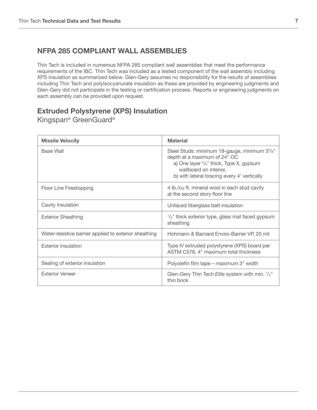### **NFPA 285 COMPLIANT WALL ASSEMBLIES**

Thin Tech is included in numerous NFPA 285 compliant wall assemblies that meet the performance requirements of the IBC. Thin Tech was included as a tested component of the wall assembly including XPS insulation as summarized below. Glen-Gery assumes no responsibility for the results of assemblies including Thin Tech and polyisocyanurate insulation as these are provided by engineering judgments and Glen-Gery did not participate in the testing or certification process. Reports or engineering judgments on each assembly can be provided upon request.

## **Extruded Polystyrene (XPS) Insulation**

Kingspan® GreenGuard®

| <b>Missile Velocity</b>                               | <b>Material</b>                                                                                                                                                                                                           |
|-------------------------------------------------------|---------------------------------------------------------------------------------------------------------------------------------------------------------------------------------------------------------------------------|
| <b>Base Wall</b>                                      | Steel Studs: minimum 18-gauge, minimum 35/8"<br>depth at a maximum of 24" OC<br>a) One layer <sup>5</sup> / <sub>8</sub> " thick, Type X, gypsum<br>wallboard on interior.<br>b) with lateral bracing every 4' vertically |
| Floor Line Firestopping                               | 4 lb./cu ft. mineral wool in each stud cavity<br>at the second story floor line                                                                                                                                           |
| Cavity Insulation                                     | Unfaced fiberglass batt insulation                                                                                                                                                                                        |
| <b>Exterior Sheathing</b>                             | $\frac{1}{2}$ " thick exterior type, glass mat faced gypsum<br>sheathing                                                                                                                                                  |
| Water-resistive barrier applied to exterior sheathing | Hohmann & Barnard Enviro-Barrier VP, 20 mil                                                                                                                                                                               |
| <b>Exterior insulation</b>                            | Type IV extruded polystyrene (XPS) board per<br>ASTM C578, 4" maximum total thickness                                                                                                                                     |
| Sealing of exterior insulation                        | Polyolefin film tape - maximum 3" width                                                                                                                                                                                   |
| <b>Exterior Veneer</b>                                | Glen-Gery Thin Tech Elite system with min. 1/2"<br>thin brick                                                                                                                                                             |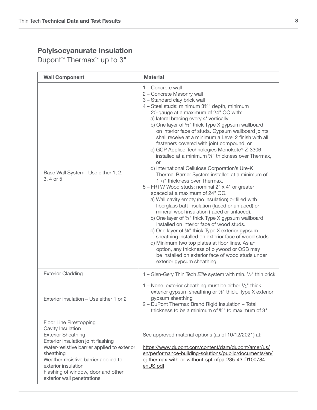Dupont™ Thermax™ up to 3"

| <b>Wall Component</b>                                                                                                                                                                                                                                                                                          | <b>Material</b>                                                                                                                                                                                                                                                                                                                                                                                                                                                                                                                                                                                                                                                                                                                                                                                                                                                                                                                                                                                                                                                                                                                                                                                                                                                                                                                                            |
|----------------------------------------------------------------------------------------------------------------------------------------------------------------------------------------------------------------------------------------------------------------------------------------------------------------|------------------------------------------------------------------------------------------------------------------------------------------------------------------------------------------------------------------------------------------------------------------------------------------------------------------------------------------------------------------------------------------------------------------------------------------------------------------------------------------------------------------------------------------------------------------------------------------------------------------------------------------------------------------------------------------------------------------------------------------------------------------------------------------------------------------------------------------------------------------------------------------------------------------------------------------------------------------------------------------------------------------------------------------------------------------------------------------------------------------------------------------------------------------------------------------------------------------------------------------------------------------------------------------------------------------------------------------------------------|
| Base Wall System- Use either 1, 2,<br>3, 4 or 5                                                                                                                                                                                                                                                                | 1 - Concrete wall<br>2 - Concrete Masonry wall<br>3 - Standard clay brick wall<br>4 - Steel studs: minimum 3%" depth, minimum<br>20-gauge at a maximum of 24" OC with:<br>a) lateral bracing every 4' vertically<br>b) One layer of %" thick Type X gypsum wallboard<br>on interior face of studs. Gypsum wallboard joints<br>shall receive at a minimum a Level 2 finish with all<br>fasteners covered with joint compound, or<br>c) GCP Applied Technologies Monokote® Z-3306<br>installed at a minimum %" thickness over Thermax,<br>or<br>d) International Cellulose Corporation's Ure-K<br>Thermal Barrier System installed at a minimum of<br>1 <sup>1</sup> / <sub>4</sub> " thickness over Thermax.<br>5 - FRTW Wood studs: nominal 2" x 4" or greater<br>spaced at a maximum of 24" OC.<br>a) Wall cavity empty (no insulation) or filled with<br>fiberglass batt insulation (faced or unfaced) or<br>mineral wool insulation (faced or unfaced).<br>b) One layer of %" thick Type X gypsum wallboard<br>installed on interior face of wood studs.<br>c) One layer of %" thick Type X exterior gypsum<br>sheathing installed on exterior face of wood studs.<br>d) Minimum two top plates at floor lines. As an<br>option, any thickness of plywood or OSB may<br>be installed on exterior face of wood studs under<br>exterior gypsum sheathing. |
| <b>Exterior Cladding</b>                                                                                                                                                                                                                                                                                       | 1 – Glen-Gery Thin Tech Elite system with min. $1/2$ " thin brick                                                                                                                                                                                                                                                                                                                                                                                                                                                                                                                                                                                                                                                                                                                                                                                                                                                                                                                                                                                                                                                                                                                                                                                                                                                                                          |
| Exterior insulation – Use either 1 or 2                                                                                                                                                                                                                                                                        | 1 – None, exterior sheathing must be either $\frac{1}{2}$ " thick<br>exterior gypsum sheathing or %" thick, Type X exterior<br>gypsum sheathing<br>2 - DuPont Thermax Brand Rigid Insulation - Total<br>thickness to be a minimum of 5%" to maximum of 3"                                                                                                                                                                                                                                                                                                                                                                                                                                                                                                                                                                                                                                                                                                                                                                                                                                                                                                                                                                                                                                                                                                  |
| Floor Line Firestopping<br>Cavity Insulation<br><b>Exterior Sheathing</b><br>Exterior insulation joint flashing<br>Water-resistive barrier applied to exterior<br>sheathing<br>Weather-resistive barrier applied to<br>exterior insulation<br>Flashing of window, door and other<br>exterior wall penetrations | See approved material options (as of 10/12/2021) at:<br>https://www.dupont.com/content/dam/dupont/amer/us/<br>en/performance-building-solutions/public/documents/en/<br>ej-thermax-with-or-without-spf-nfpa-285-43-D100784-<br>enUS.pdf                                                                                                                                                                                                                                                                                                                                                                                                                                                                                                                                                                                                                                                                                                                                                                                                                                                                                                                                                                                                                                                                                                                    |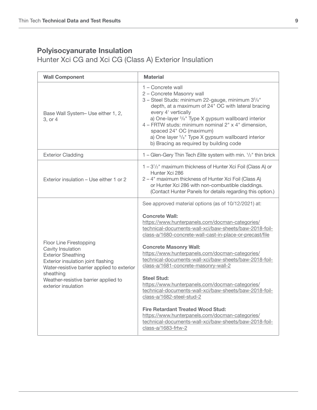Hunter Xci CG and Xci CG (Class A) Exterior Insulation

| <b>Wall Component</b>                                                                                                                                                                                                                      | <b>Material</b>                                                                                                                                                                                                                                                                                                                                                                                                                                                                                                                                                                                                                                                                                                                                                                              |
|--------------------------------------------------------------------------------------------------------------------------------------------------------------------------------------------------------------------------------------------|----------------------------------------------------------------------------------------------------------------------------------------------------------------------------------------------------------------------------------------------------------------------------------------------------------------------------------------------------------------------------------------------------------------------------------------------------------------------------------------------------------------------------------------------------------------------------------------------------------------------------------------------------------------------------------------------------------------------------------------------------------------------------------------------|
| Base Wall System- Use either 1, 2,<br>3, or 4                                                                                                                                                                                              | 1 – Concrete wall<br>2 - Concrete Masonry wall<br>3 - Steel Studs: minimum 22-gauge, minimum 3 <sup>5</sup> / <sub>8</sub> "<br>depth, at a maximum of 24" OC with lateral bracing<br>every 4' vertically<br>a) One-layer <sup>5</sup> / <sub>8</sub> " Type X gypsum wallboard interior<br>4 - FRTW studs: minimum nominal 2" x 4" dimension,<br>spaced 24" OC (maximum)<br>a) One layer <sup>5</sup> / <sub>8</sub> " Type X gypsum wallboard interior<br>b) Bracing as required by building code                                                                                                                                                                                                                                                                                          |
| <b>Exterior Cladding</b>                                                                                                                                                                                                                   | 1 - Glen-Gery Thin Tech Elite system with min. 1/2" thin brick                                                                                                                                                                                                                                                                                                                                                                                                                                                                                                                                                                                                                                                                                                                               |
| Exterior insulation – Use either 1 or 2                                                                                                                                                                                                    | 1 - 3 <sup>1</sup> / <sub>2</sub> " maximum thickness of Hunter Xci Foil (Class A) or<br>Hunter Xci 286<br>2 – 4" maximum thickness of Hunter Xci Foil (Class A)<br>or Hunter Xci 286 with non-combustible claddings.<br>(Contact Hunter Panels for details regarding this option.)                                                                                                                                                                                                                                                                                                                                                                                                                                                                                                          |
| Floor Line Firestopping<br>Cavity Insulation<br><b>Exterior Sheathing</b><br>Exterior insulation joint flashing<br>Water-resistive barrier applied to exterior<br>sheathing<br>Weather-resistive barrier applied to<br>exterior insulation | See approved material options (as of 10/12/2021) at:<br><b>Concrete Wall:</b><br>https://www.hunterpanels.com/docman-categories/<br>technical-documents-wall-xci/baw-sheets/baw-2018-foil-<br>class-a/1680-concrete-wall-cast-in-place-or-precast/file<br><b>Concrete Masonry Wall:</b><br>https://www.hunterpanels.com/docman-categories/<br>technical-documents-wall-xci/baw-sheets/baw-2018-foil-<br>class-a/1681-concrete-masonry-wall-2<br><b>Steel Stud:</b><br>https://www.hunterpanels.com/docman-categories/<br>technical-documents-wall-xci/baw-sheets/baw-2018-foil-<br>class-a/1682-steel-stud-2<br><b>Fire Retardant Treated Wood Stud:</b><br>https://www.hunterpanels.com/docman-categories/<br>technical-documents-wall-xci/baw-sheets/baw-2018-foil-<br>class-a/1683-frtw-2 |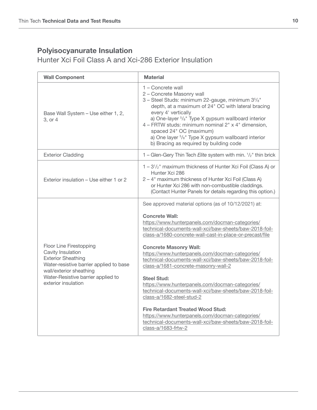Hunter Xci Foil Class A and Xci-286 Exterior Insulation

| <b>Wall Component</b>                                                                                                                                                                                        | <b>Material</b>                                                                                                                                                                                                                                                                                                                                                                                                                                                                                                                                                                                                                                                                                                                                                                              |
|--------------------------------------------------------------------------------------------------------------------------------------------------------------------------------------------------------------|----------------------------------------------------------------------------------------------------------------------------------------------------------------------------------------------------------------------------------------------------------------------------------------------------------------------------------------------------------------------------------------------------------------------------------------------------------------------------------------------------------------------------------------------------------------------------------------------------------------------------------------------------------------------------------------------------------------------------------------------------------------------------------------------|
| Base Wall System - Use either 1, 2,<br>3, or 4                                                                                                                                                               | 1 - Concrete wall<br>2 - Concrete Masonry wall<br>3 - Steel Studs: minimum 22-gauge, minimum 3 <sup>5</sup> / <sub>8</sub> "<br>depth, at a maximum of 24" OC with lateral bracing<br>every 4' vertically<br>a) One-layer <sup>5</sup> / <sub>8</sub> " Type X gypsum wallboard interior<br>4 - FRTW studs: minimum nominal 2" x 4" dimension,<br>spaced 24" OC (maximum)<br>a) One layer <sup>5</sup> / <sub>8</sub> " Type X gypsum wallboard interior<br>b) Bracing as required by building code                                                                                                                                                                                                                                                                                          |
| <b>Exterior Cladding</b>                                                                                                                                                                                     | 1 - Glen-Gery Thin Tech Elite system with min. 1/2" thin brick                                                                                                                                                                                                                                                                                                                                                                                                                                                                                                                                                                                                                                                                                                                               |
| Exterior insulation - Use either 1 or 2                                                                                                                                                                      | 1-3 <sup>1</sup> / <sub>2</sub> " maximum thickness of Hunter Xci Foil (Class A) or<br>Hunter Xci 286<br>2 – 4" maximum thickness of Hunter Xci Foil (Class A)<br>or Hunter Xci 286 with non-combustible claddings.<br>(Contact Hunter Panels for details regarding this option.)                                                                                                                                                                                                                                                                                                                                                                                                                                                                                                            |
| Floor Line Firestopping<br>Cavity Insulation<br><b>Exterior Sheathing</b><br>Water-resistive barrier applied to base<br>wall/exterior sheathing<br>Water-Resistive barrier applied to<br>exterior insulation | See approved material options (as of 10/12/2021) at:<br><b>Concrete Wall:</b><br>https://www.hunterpanels.com/docman-categories/<br>technical-documents-wall-xci/baw-sheets/baw-2018-foil-<br>class-a/1680-concrete-wall-cast-in-place-or-precast/file<br><b>Concrete Masonry Wall:</b><br>https://www.hunterpanels.com/docman-categories/<br>technical-documents-wall-xci/baw-sheets/baw-2018-foil-<br>class-a/1681-concrete-masonry-wall-2<br><b>Steel Stud:</b><br>https://www.hunterpanels.com/docman-categories/<br>technical-documents-wall-xci/baw-sheets/baw-2018-foil-<br>class-a/1682-steel-stud-2<br><b>Fire Retardant Treated Wood Stud:</b><br>https://www.hunterpanels.com/docman-categories/<br>technical-documents-wall-xci/baw-sheets/baw-2018-foil-<br>class-a/1683-frtw-2 |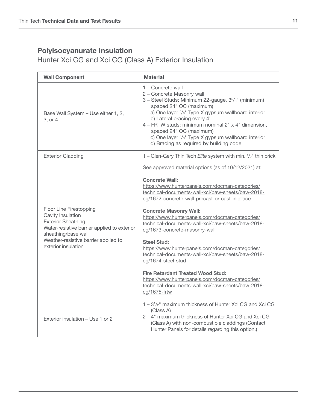Hunter Xci CG and Xci CG (Class A) Exterior Insulation

| <b>Wall Component</b>                                                                                                                                                                                          | <b>Material</b>                                                                                                                                                                                                                                                                                                                                                                                                                                                                                                                                                                                                                                                                                                                           |
|----------------------------------------------------------------------------------------------------------------------------------------------------------------------------------------------------------------|-------------------------------------------------------------------------------------------------------------------------------------------------------------------------------------------------------------------------------------------------------------------------------------------------------------------------------------------------------------------------------------------------------------------------------------------------------------------------------------------------------------------------------------------------------------------------------------------------------------------------------------------------------------------------------------------------------------------------------------------|
| Base Wall System - Use either 1, 2,<br>3, or 4                                                                                                                                                                 | 1 - Concrete wall<br>2 - Concrete Masonry wall<br>3 - Steel Studs: Minimum 22-gauge, 3 <sup>5</sup> / <sub>8</sub> " (minimum)<br>spaced 24" OC (maximum)<br>a) One layer <sup>5</sup> / <sub>8</sub> " Type X gypsum wallboard interior<br>b) Lateral bracing every 4'<br>4 - FRTW studs: minimum nominal 2" x 4" dimension,<br>spaced 24" OC (maximum)<br>c) One layer <sup>5</sup> / <sub>8</sub> " Type X gypsum wallboard interior<br>d) Bracing as required by building code                                                                                                                                                                                                                                                        |
| <b>Exterior Cladding</b>                                                                                                                                                                                       | 1 - Glen-Gery Thin Tech Elite system with min. 1/2" thin brick                                                                                                                                                                                                                                                                                                                                                                                                                                                                                                                                                                                                                                                                            |
| Floor Line Firestopping<br>Cavity Insulation<br><b>Exterior Sheathing</b><br>Water-resistive barrier applied to exterior<br>sheathing/base wall<br>Weather-resistive barrier applied to<br>exterior insulation | See approved material options (as of 10/12/2021) at:<br><b>Concrete Wall:</b><br>https://www.hunterpanels.com/docman-categories/<br>technical-documents-wall-xci/baw-sheets/baw-2018-<br>cg/1672-concrete-wall-precast-or-cast-in-place<br><b>Concrete Masonry Wall:</b><br>https://www.hunterpanels.com/docman-categories/<br>technical-documents-wall-xci/baw-sheets/baw-2018-<br>cg/1673-concrete-masonry-wall<br><b>Steel Stud:</b><br>https://www.hunterpanels.com/docman-categories/<br>technical-documents-wall-xci/baw-sheets/baw-2018-<br>cg/1674-steel-stud<br><b>Fire Retardant Treated Wood Stud:</b><br>https://www.hunterpanels.com/docman-categories/<br>technical-documents-wall-xci/baw-sheets/baw-2018-<br>cg/1675-frtw |
| Exterior insulation - Use 1 or 2                                                                                                                                                                               | 1 - 3 <sup>1</sup> / <sub>2</sub> " maximum thickness of Hunter Xci CG and Xci CG<br>(Class A)<br>2 - 4" maximum thickness of Hunter Xci CG and Xci CG<br>(Class A) with non-combustible claddings (Contact<br>Hunter Panels for details regarding this option.)                                                                                                                                                                                                                                                                                                                                                                                                                                                                          |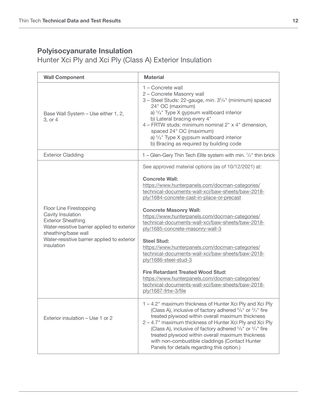Hunter Xci Ply and Xci Ply (Class A) Exterior Insulation

| <b>Wall Component</b>                                                                                                                                                                                        | <b>Material</b>                                                                                                                                                                                                                                                                                                                                                                                                                                                                                                                                                                                                                                                                                                                                     |
|--------------------------------------------------------------------------------------------------------------------------------------------------------------------------------------------------------------|-----------------------------------------------------------------------------------------------------------------------------------------------------------------------------------------------------------------------------------------------------------------------------------------------------------------------------------------------------------------------------------------------------------------------------------------------------------------------------------------------------------------------------------------------------------------------------------------------------------------------------------------------------------------------------------------------------------------------------------------------------|
| Base Wall System - Use either 1, 2,<br>3, or 4                                                                                                                                                               | 1 – Concrete wall<br>2 - Concrete Masonry wall<br>3 - Steel Studs: 22-gauge, min. 3 <sup>5</sup> / <sub>8</sub> " (minimum) spaced<br>24" OC (maximum)<br>a) <sup>5</sup> / <sub>8</sub> " Type X gypsum wallboard interior<br>b) Lateral bracing every 4"<br>4 - FRTW studs: minimum nominal 2" x 4" dimension,<br>spaced 24" OC (maximum)<br>a) <sup>5</sup> / <sub>8</sub> " Type X gypsum wallboard interior<br>b) Bracing as required by building code                                                                                                                                                                                                                                                                                         |
| <b>Exterior Cladding</b>                                                                                                                                                                                     | 1 – Glen-Gery Thin Tech Elite system with min. 1/2" thin brick                                                                                                                                                                                                                                                                                                                                                                                                                                                                                                                                                                                                                                                                                      |
| Floor Line Firestopping<br>Cavity Insulation<br><b>Exterior Sheathing</b><br>Water-resistive barrier applied to exterior<br>sheathing/base wall<br>Water-resistive barrier applied to exterior<br>insulation | See approved material options (as of 10/12/2021) at:<br><b>Concrete Wall:</b><br>https://www.hunterpanels.com/docman-categories/<br>technical-documents-wall-xci/baw-sheets/baw-2018-<br>ply/1684-concrete-cast-in-place-or-precast<br><b>Concrete Masonry Wall:</b><br>https://www.hunterpanels.com/docman-categories/<br>technical-documents-wall-xci/baw-sheets/baw-2018-<br>ply/1685-concrete-masonry-wall-3<br><b>Steel Stud:</b><br>https://www.hunterpanels.com/docman-categories/<br>technical-documents-wall-xci/baw-sheets/baw-2018-<br>ply/1686-steel-stud-3<br><b>Fire Retardant Treated Wood Stud:</b><br>https://www.hunterpanels.com/docman-categories/<br>technical-documents-wall-xci/baw-sheets/baw-2018-<br>ply/1687-frtw-3/file |
| Exterior insulation - Use 1 or 2                                                                                                                                                                             | 1 - 4.2" maximum thickness of Hunter Xci Ply and Xci Ply<br>(Class A), inclusive of factory adhered $5/8$ " or $3/4$ " fire<br>treated plywood within overall maximum thickness<br>2 – 4.7" maximum thickness of Hunter Xci Ply and Xci Ply<br>(Class A), inclusive of factory adhered $5/8$ " or $3/4$ " fire<br>treated plywood within overall maximum thickness<br>with non-combustible claddings (Contact Hunter<br>Panels for details regarding this option.)                                                                                                                                                                                                                                                                                  |